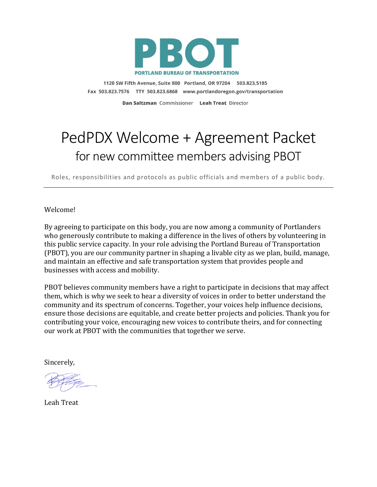

1120 SW Fifth Avenue, Suite 800 Portland, OR 97204 503.823.5185 Fax 503.823.7576 TTY 503.823.6868 www.portlandoregon.gov/transportation

Dan Saltzman Commissioner Leah Treat Director

## PedPDX Welcome + Agreement Packet for new committee members advising PBOT

Roles, responsibilities and protocols as public officials and members of a public body.

Welcome!

By agreeing to participate on this body, you are now among a community of Portlanders who generously contribute to making a difference in the lives of others by volunteering in this public service capacity. In your role advising the Portland Bureau of Transportation (PBOT), you are our community partner in shaping a livable city as we plan, build, manage, and maintain an effective and safe transportation system that provides people and businesses with access and mobility.

PBOT believes community members have a right to participate in decisions that may affect them, which is why we seek to hear a diversity of voices in order to better understand the community and its spectrum of concerns. Together, your voices help influence decisions, ensure those decisions are equitable, and create better projects and policies. Thank you for contributing your voice, encouraging new voices to contribute theirs, and for connecting our work at PBOT with the communities that together we serve.

Sincerely,

Leah Treat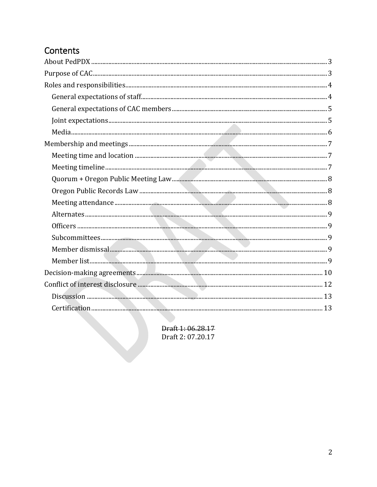## Contents

Draft 1: 06.28.17 Draft 2: 07.20.17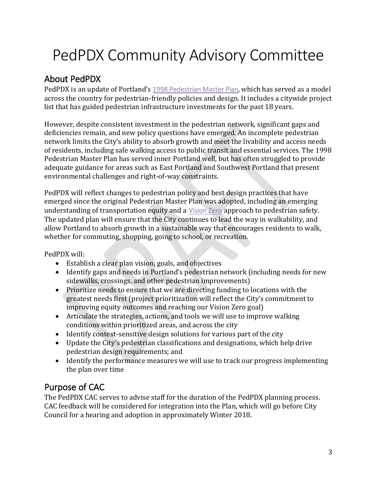# PedPDX Community Advisory Committee

## <span id="page-2-0"></span>About PedPDX

PedPDX is an update of Portland's 1998 [Pedestrian](https://www.portlandoregon.gov/transportation/index.cfm?a=90244) Master Plan, which has served as a model across the country for pedestrian-friendly policies and design. It includes a citywide project list that has guided pedestrian infrastructure investments for the past 18 years.

However, despite consistent investment in the pedestrian network, significant gaps and deficiencies remain, and new policy questions have emerged. An incomplete pedestrian network limits the City's ability to absorb growth and meet the livability and access needs of residents, including safe walking access to public transit and essential services. The 1998 Pedestrian Master Plan has served inner Portland well, but has often struggled to provide adequate guidance for areas such as East Portland and Southwest Portland that present environmental challenges and right-of-way constraints.

PedPDX will reflect changes to pedestrian policy and best design practices that have emerged since the original Pedestrian Master Plan was adopted, including an emerging understanding of transportation equity and a [Vision](https://www.portlandoregon.gov/transportation/40390) Zero approach to pedestrian safety. The updated plan will ensure that the City continues to lead the way in walkability, and allow Portland to absorb growth in a sustainable way that encourages residents to walk, whether for commuting, shopping, going to school, or recreation.

PedPDX will:

- Establish a clear plan vision, goals, and objectives
- Identify gaps and needs in Portland's pedestrian network (including needs for new sidewalks, crossings, and other pedestrian improvements)
- Prioritize needs to ensure that we are directing funding to locations with the greatest needs first (project prioritization will reflect the City's commitment to improving equity outcomes and reaching our Vision Zero goal)
- Articulate the strategies, actions, and tools we will use to improve walking conditions within prioritized areas, and across the city
- Identify context-sensitive design solutions for various part of the city
- Update the City's pedestrian classifications and designations, which help drive pedestrian design requirements; and
- Identify the performance measures we will use to track our progress implementing the plan over time

## <span id="page-2-1"></span>Purpose of CAC

The PedPDX CAC serves to advise staff for the duration of the PedPDX planning process. CAC feedback will be considered for integration into the Plan, which will go before City Council for a hearing and adoption in approximately Winter 2018.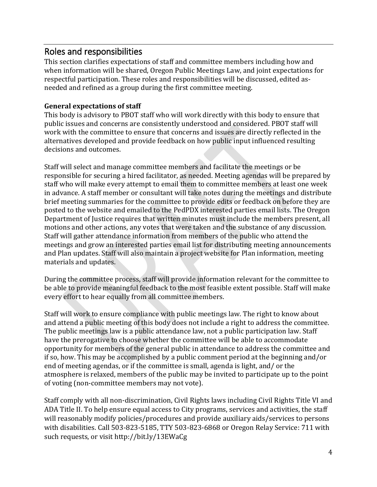## <span id="page-3-0"></span>Roles and responsibilities

This section clarifies expectations of staff and committee members including how and when information will be shared, Oregon Public Meetings Law, and joint expectations for respectful participation. These roles and responsibilities will be discussed, edited asneeded and refined as a group during the first committee meeting.

#### <span id="page-3-1"></span>**General expectations of staff**

This body is advisory to PBOT staff who will work directly with this body to ensure that public issues and concerns are consistently understood and considered. PBOT staff will work with the committee to ensure that concerns and issues are directly reflected in the alternatives developed and provide feedback on how public input influenced resulting decisions and outcomes.

Staff will select and manage committee members and facilitate the meetings or be responsible for securing a hired facilitator, as needed. Meeting agendas will be prepared by staff who will make every attempt to email them to committee members at least one week in advance. A staff member or consultant will take notes during the meetings and distribute brief meeting summaries for the committee to provide edits or feedback on before they are posted to the website and emailed to the PedPDX interested parties email lists. The Oregon Department of Justice requires that written minutes must include the members present, all motions and other actions, any votes that were taken and the substance of any discussion. Staff will gather attendance information from members of the public who attend the meetings and grow an interested parties email list for distributing meeting announcements and Plan updates. Staff will also maintain a project website for Plan information, meeting materials and updates.

During the committee process, staff will provide information relevant for the committee to be able to provide meaningful feedback to the most feasible extent possible. Staff will make every effort to hear equally from all committee members.

Staff will work to ensure compliance with public meetings law. The right to know about and attend a public meeting of this body does not include a right to address the committee. The public meetings law is a public attendance law, not a public participation law. Staff have the prerogative to choose whether the committee will be able to accommodate opportunity for members of the general public in attendance to address the committee and if so, how. This may be accomplished by a public comment period at the beginning and/or end of meeting agendas, or if the committee is small, agenda is light, and/ or the atmosphere is relaxed, members of the public may be invited to participate up to the point of voting (non-committee members may not vote).

Staff comply with all non‐discrimination, Civil Rights laws including Civil Rights Title VI and ADA Title II. To help ensure equal access to City programs, services and activities, the staff will reasonably modify policies/procedures and provide auxiliary aids/services to persons with disabilities. Call 503-823-5185, TTY 503-823-6868 or Oregon Relay Service: 711 with such requests, or visit<http://bit.ly/13EWaCg>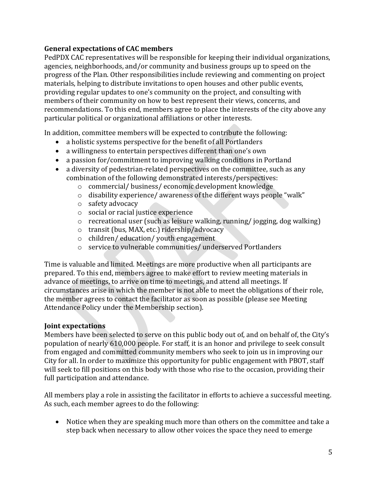#### <span id="page-4-0"></span>**General expectations of CAC members**

PedPDX CAC representatives will be responsible for keeping their individual organizations, agencies, neighborhoods, and/or community and business groups up to speed on the progress of the Plan. Other responsibilities include reviewing and commenting on project materials, helping to distribute invitations to open houses and other public events, providing regular updates to one's community on the project, and consulting with members of their community on how to best represent their views, concerns, and recommendations. To this end, members agree to place the interests of the city above any particular political or organizational affiliations or other interests.

In addition, committee members will be expected to contribute the following:

- a holistic systems perspective for the benefit of all Portlanders
- a willingness to entertain perspectives different than one's own
- a passion for/commitment to improving walking conditions in Portland
- a diversity of pedestrian-related perspectives on the committee, such as any combination of the following demonstrated interests/perspectives:
	- o commercial/ business/ economic development knowledge
	- o disability experience/ awareness of the different ways people "walk"
	- o safety advocacy
	- o social or racial justice experience
	- o recreational user (such as leisure walking, running/ jogging, dog walking)
	- o transit (bus, MAX, etc.) ridership/advocacy
	- o children/ education/ youth engagement
	- o service to vulnerable communities/ underserved Portlanders

Time is valuable and limited. Meetings are more productive when all participants are prepared. To this end, members agree to make effort to review meeting materials in advance of meetings, to arrive on time to meetings, and attend all meetings. If circumstances arise in which the member is not able to meet the obligations of their role, the member agrees to contact the facilitator as soon as possible (please see Meeting Attendance Policy under the Membership section).

#### <span id="page-4-1"></span>**Joint expectations**

Members have been selected to serve on this public body out of, and on behalf of, the City's population of nearly 610,000 people. For staff, it is an honor and privilege to seek consult from engaged and committed community members who seek to join us in improving our City for all. In order to maximize this opportunity for public engagement with PBOT, staff will seek to fill positions on this body with those who rise to the occasion, providing their full participation and attendance.

All members play a role in assisting the facilitator in efforts to achieve a successful meeting. As such, each member agrees to do the following:

• Notice when they are speaking much more than others on the committee and take a step back when necessary to allow other voices the space they need to emerge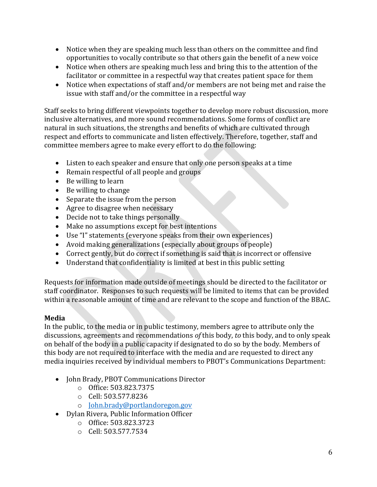- Notice when they are speaking much less than others on the committee and find opportunities to vocally contribute so that others gain the benefit of a new voice
- Notice when others are speaking much less and bring this to the attention of the facilitator or committee in a respectful way that creates patient space for them
- Notice when expectations of staff and/or members are not being met and raise the issue with staff and/or the committee in a respectful way

Staff seeks to bring different viewpoints together to develop more robust discussion, more inclusive alternatives, and more sound recommendations. Some forms of conflict are natural in such situations, the strengths and benefits of which are cultivated through respect and efforts to communicate and listen effectively. Therefore, together, staff and committee members agree to make every effort to do the following:

- Listen to each speaker and ensure that only one person speaks at a time
- Remain respectful of all people and groups
- Be willing to learn
- Be willing to change
- Separate the issue from the person
- Agree to disagree when necessary
- Decide not to take things personally
- Make no assumptions except for best intentions
- Use "I" statements (everyone speaks from their own experiences)
- Avoid making generalizations (especially about groups of people)
- Correct gently, but do correct if something is said that is incorrect or offensive
- Understand that confidentiality is limited at best in this public setting

Requests for information made outside of meetings should be directed to the facilitator or staff coordinator. Responses to such requests will be limited to items that can be provided within a reasonable amount of time and are relevant to the scope and function of the BBAC.

#### <span id="page-5-0"></span>**Media**

In the public, to the media or in public testimony, members agree to attribute only the discussions, agreements and recommendations *of* this body, *to* this body, and to only speak on behalf of the body in a public capacity if designated to do so by the body. Members of this body are not required to interface with the media and are requested to direct any media inquiries received by individual members to PBOT's Communications Department:

- John Brady, PBOT Communications Director
	- o Office: 503.823.7375
	- o Cell: 503.577.8236
	- o [John.brady@portlandoregon.gov](mailto:John.brady@portlandoregon.gov)
- Dylan Rivera, Public Information Officer
	- o Office: 503.823.3723
	- o Cell: 503.577.7534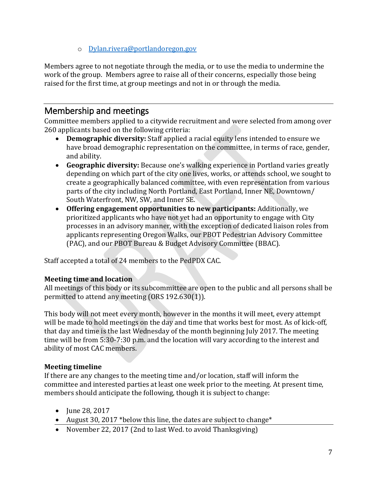o [Dylan.rivera@portlandoregon.gov](mailto:Dylan.rivera@portlandoregon.gov)

Members agree to not negotiate through the media, or to use the media to undermine the work of the group. Members agree to raise all of their concerns, especially those being raised for the first time, at group meetings and not in or through the media.

## <span id="page-6-0"></span>Membership and meetings

Committee members applied to a citywide recruitment and were selected from among over 260 applicants based on the following criteria:

- **Demographic diversity:** Staff applied a racial equity lens intended to ensure we have broad demographic representation on the committee, in terms of race, gender, and ability.
- **Geographic diversity:** Because one's walking experience in Portland varies greatly depending on which part of the city one lives, works, or attends school, we sought to create a geographically balanced committee, with even representation from various parts of the city including North Portland, East Portland, Inner NE, Downtown/ South Waterfront, NW, SW, and Inner SE.
- **Offering engagement opportunities to new participants:** Additionally, we prioritized applicants who have not yet had an opportunity to engage with City processes in an advisory manner, with the exception of dedicated liaison roles from applicants representing Oregon Walks, our PBOT Pedestrian Advisory Committee (PAC), and our PBOT Bureau & Budget Advisory Committee (BBAC).

Staff accepted a total of 24 members to the PedPDX CAC.

#### <span id="page-6-1"></span>**Meeting time and location**

All meetings of this body or its subcommittee are open to the public and all persons shall be permitted to attend any meeting (ORS 192.630(1)).

This body will not meet every month, however in the months it will meet, every attempt will be made to hold meetings on the day and time that works best for most. As of kick-off, that day and time is the last Wednesday of the month beginning July 2017. The meeting time will be from 5:30-7:30 p.m. and the location will vary according to the interest and ability of most CAC members.

#### <span id="page-6-2"></span>**Meeting timeline**

If there are any changes to the meeting time and/or location, staff will inform the committee and interested parties at least one week prior to the meeting. At present time, members should anticipate the following, though it is subject to change:

- June 28, 2017
- August 30, 2017 \* below this line, the dates are subject to change \*
- November 22, 2017 (2nd to last Wed. to avoid Thanksgiving)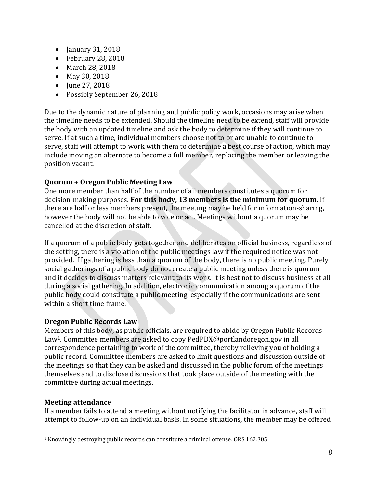- January 31, 2018
- February 28, 2018
- March 28, 2018
- May 30, 2018
- June 27, 2018
- Possibly September 26, 2018

Due to the dynamic nature of planning and public policy work, occasions may arise when the timeline needs to be extended. Should the timeline need to be extend, staff will provide the body with an updated timeline and ask the body to determine if they will continue to serve. If at such a time, individual members choose not to or are unable to continue to serve, staff will attempt to work with them to determine a best course of action, which may include moving an alternate to become a full member, replacing the member or leaving the position vacant.

#### <span id="page-7-0"></span>**Quorum + Oregon Public Meeting Law**

One more member than half of the number of all members constitutes a quorum for decision-making purposes. **For this body, 13 members is the minimum for quorum.** If there are half or less members present, the meeting may be held for information-sharing, however the body will not be able to vote or act. Meetings without a quorum may be cancelled at the discretion of staff.

If a quorum of a public body gets together and deliberates on official business, regardless of the setting, there is a violation of the public meetings law if the required notice was not provided. If gathering is less than a quorum of the body, there is no public meeting. Purely social gatherings of a public body do not create a public meeting unless there is quorum and it decides to discuss matters relevant to its work. It is best not to discuss business at all during a social gathering. In addition, electronic communication among a quorum of the public body could constitute a public meeting, especially if the communications are sent within a short time frame.

#### <span id="page-7-1"></span>**Oregon Public Records Law**

Members of this body, as public officials, are required to abide by Oregon Public Records Law<sup>1</sup>. Committee members are asked to copy PedPDX@portlandoregon.gov in all correspondence pertaining to work of the committee, thereby relieving you of holding a public record. Committee members are asked to limit questions and discussion outside of the meetings so that they can be asked and discussed in the public forum of the meetings themselves and to disclose discussions that took place outside of the meeting with the committee during actual meetings.

#### <span id="page-7-2"></span>**Meeting attendance**

If a member fails to attend a meeting without notifying the facilitator in advance, staff will attempt to follow-up on an individual basis. In some situations, the member may be offered

l <sup>1</sup> Knowingly destroying public records can constitute a criminal offense. ORS 162.305.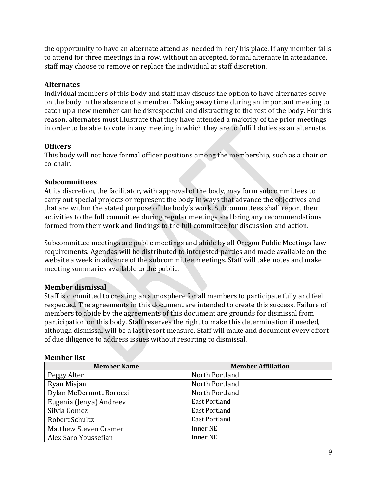the opportunity to have an alternate attend as-needed in her/ his place. If any member fails to attend for three meetings in a row, without an accepted, formal alternate in attendance, staff may choose to remove or replace the individual at staff discretion.

#### <span id="page-8-0"></span>**Alternates**

Individual members of this body and staff may discuss the option to have alternates serve on the body in the absence of a member. Taking away time during an important meeting to catch up a new member can be disrespectful and distracting to the rest of the body. For this reason, alternates must illustrate that they have attended a majority of the prior meetings in order to be able to vote in any meeting in which they are to fulfill duties as an alternate.

#### <span id="page-8-1"></span>**Officers**

This body will not have formal officer positions among the membership, such as a chair or co-chair.

#### <span id="page-8-2"></span>**Subcommittees**

At its discretion, the facilitator, with approval of the body, may form subcommittees to carry out special projects or represent the body in ways that advance the objectives and that are within the stated purpose of the body's work. Subcommittees shall report their activities to the full committee during regular meetings and bring any recommendations formed from their work and findings to the full committee for discussion and action.

Subcommittee meetings are public meetings and abide by all Oregon Public Meetings Law requirements. Agendas will be distributed to interested parties and made available on the website a week in advance of the subcommittee meetings. Staff will take notes and make meeting summaries available to the public.

#### <span id="page-8-3"></span>**Member dismissal**

Staff is committed to creating an atmosphere for all members to participate fully and feel respected. The agreements in this document are intended to create this success. Failure of members to abide by the agreements of this document are grounds for dismissal from participation on this body. Staff reserves the right to make this determination if needed, although dismissal will be a last resort measure. Staff will make and document every effort of due diligence to address issues without resorting to dismissal.

#### <span id="page-8-4"></span>**Member list**

| <b>Member Name</b>      | <b>Member Affiliation</b> |
|-------------------------|---------------------------|
| Peggy Alter             | North Portland            |
| Ryan Misjan             | North Portland            |
| Dylan McDermott Boroczi | North Portland            |
| Eugenia (Jenya) Andreev | <b>East Portland</b>      |
| Silvia Gomez            | <b>East Portland</b>      |
| Robert Schultz          | <b>East Portland</b>      |
| Matthew Steven Cramer   | Inner NE                  |
| Alex Saro Youssefian    | <b>Inner NE</b>           |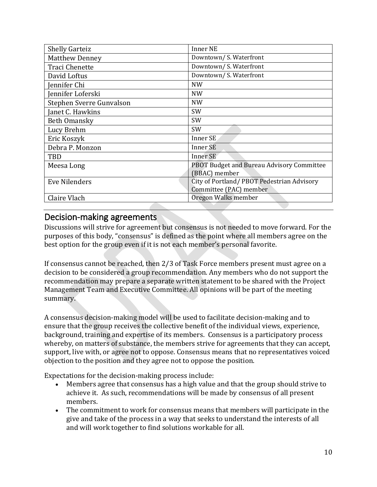| <b>Shelly Garteiz</b>    | <b>Inner NE</b>                           |
|--------------------------|-------------------------------------------|
| <b>Matthew Denney</b>    | Downtown/S. Waterfront                    |
| <b>Traci Chenette</b>    | Downtown/S. Waterfront                    |
| David Loftus             | Downtown/S. Waterfront                    |
| Jennifer Chi             | <b>NW</b>                                 |
| Jennifer Loferski        | <b>NW</b>                                 |
| Stephen Sverre Gunvalson | <b>NW</b>                                 |
| Janet C. Hawkins         | <b>SW</b>                                 |
| Beth Omansky             | <b>SW</b>                                 |
| Lucy Brehm               | <b>SW</b>                                 |
| Eric Koszyk              | Inner SE                                  |
| Debra P. Monzon          | Inner SE                                  |
| <b>TBD</b>               | Inner SE                                  |
| Meesa Long               | PBOT Budget and Bureau Advisory Committee |
|                          | (BBAC) member                             |
| Eve Nilenders            | City of Portland/PBOT Pedestrian Advisory |
|                          | Committee (PAC) member                    |
| Claire Vlach             | Oregon Walks member                       |

## <span id="page-9-0"></span>Decision-making agreements

Discussions will strive for agreement but consensus is not needed to move forward. For the purposes of this body, "consensus" is defined as the point where all members agree on the best option for the group even if it is not each member's personal favorite.

If consensus cannot be reached, then 2/3 of Task Force members present must agree on a decision to be considered a group recommendation. Any members who do not support the recommendation may prepare a separate written statement to be shared with the Project Management Team and Executive Committee. All opinions will be part of the meeting summary.

A consensus decision-making model will be used to facilitate decision-making and to ensure that the group receives the collective benefit of the individual views, experience, background, training and expertise of its members. Consensus is a participatory process whereby, on matters of substance, the members strive for agreements that they can accept, support, live with, or agree not to oppose. Consensus means that no representatives voiced objection to the position and they agree not to oppose the position.

Expectations for the decision-making process include:

- Members agree that consensus has a high value and that the group should strive to achieve it. As such, recommendations will be made by consensus of all present members.
- The commitment to work for consensus means that members will participate in the give and take of the process in a way that seeks to understand the interests of all and will work together to find solutions workable for all.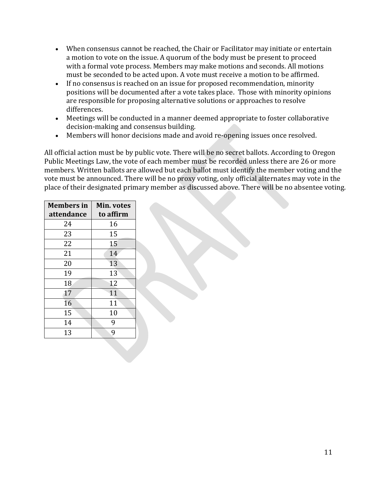- When consensus cannot be reached, the Chair or Facilitator may initiate or entertain a motion to vote on the issue. A quorum of the body must be present to proceed with a formal vote process. Members may make motions and seconds. All motions must be seconded to be acted upon. A vote must receive a motion to be affirmed.
- If no consensus is reached on an issue for proposed recommendation, minority positions will be documented after a vote takes place. Those with minority opinions are responsible for proposing alternative solutions or approaches to resolve differences.
- Meetings will be conducted in a manner deemed appropriate to foster collaborative decision-making and consensus building.
- Members will honor decisions made and avoid re-opening issues once resolved.

All official action must be by public vote. There will be no secret ballots. According to Oregon Public Meetings Law, the vote of each member must be recorded unless there are 26 or more members. Written ballots are allowed but each ballot must identify the member voting and the vote must be announced. There will be no proxy voting, only official alternates may vote in the place of their designated primary member as discussed above. There will be no absentee voting.

| <b>Members</b> in<br>attendance | Min. votes<br>to affirm |
|---------------------------------|-------------------------|
| 24                              | 16                      |
| 23                              | 15                      |
| 22                              | 15                      |
| 21                              | 14                      |
| 20                              | 13                      |
| 19                              | 13                      |
| 18                              | 12                      |
| 17                              | 11                      |
| 16                              | 11                      |
| 15                              | 10                      |
| 14                              | 9                       |
| 13                              | 9                       |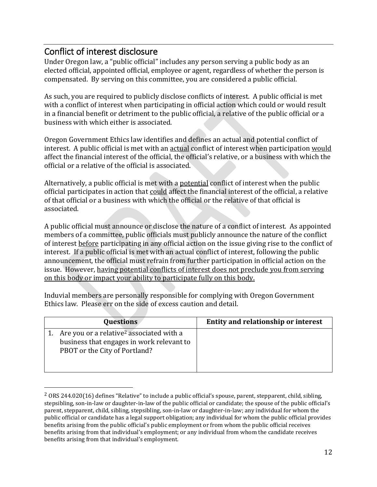## <span id="page-11-0"></span>Conflict of interest disclosure

 $\overline{\phantom{a}}$ 

Under Oregon law, a "public official" includes any person serving a public body as an elected official, appointed official, employee or agent, regardless of whether the person is compensated. By serving on this committee, you are considered a public official.

As such, you are required to publicly disclose conflicts of interest. A public official is met with a conflict of interest when participating in official action which could or would result in a financial benefit or detriment to the public official, a relative of the public official or a business with which either is associated.

Oregon Government Ethics law identifies and defines an actual and potential conflict of interest. A public official is met with an actual conflict of interest when participation would affect the financial interest of the official, the official's relative, or a business with which the official or a relative of the official is associated.

Alternatively, a public official is met with a potential conflict of interest when the public official participates in action that could affect the financial interest of the official, a relative of that official or a business with which the official or the relative of that official is associated.

A public official must announce or disclose the nature of a conflict of interest. As appointed members of a committee, public officials must publicly announce the nature of the conflict of interest before participating in any official action on the issue giving rise to the conflict of interest. If a public official is met with an actual conflict of interest, following the public announcement, the official must refrain from further participation in official action on the issue. However, having potential conflicts of interest does not preclude you from serving on this body or impact your ability to participate fully on this body.

Induvial members are personally responsible for complying with Oregon Government Ethics law. Please err on the side of excess caution and detail.

| <b>Questions</b>                                                                                                                   | Entity and relationship or interest |
|------------------------------------------------------------------------------------------------------------------------------------|-------------------------------------|
| Are you or a relative <sup>2</sup> associated with a<br>business that engages in work relevant to<br>PBOT or the City of Portland? |                                     |

 $2$  ORS 244.020(16) defines "Relative" to include a public official's spouse, parent, stepparent, child, sibling, stepsibling, son-in-law or daughter-in-law of the public official or candidate; the spouse of the public official's parent, stepparent, child, sibling, stepsibling, son-in-law or daughter-in-law; any individual for whom the public official or candidate has a legal support obligation; any individual for whom the public official provides benefits arising from the public official's public employment or from whom the public official receives benefits arising from that individual's employment; or any individual from whom the candidate receives benefits arising from that individual's employment.